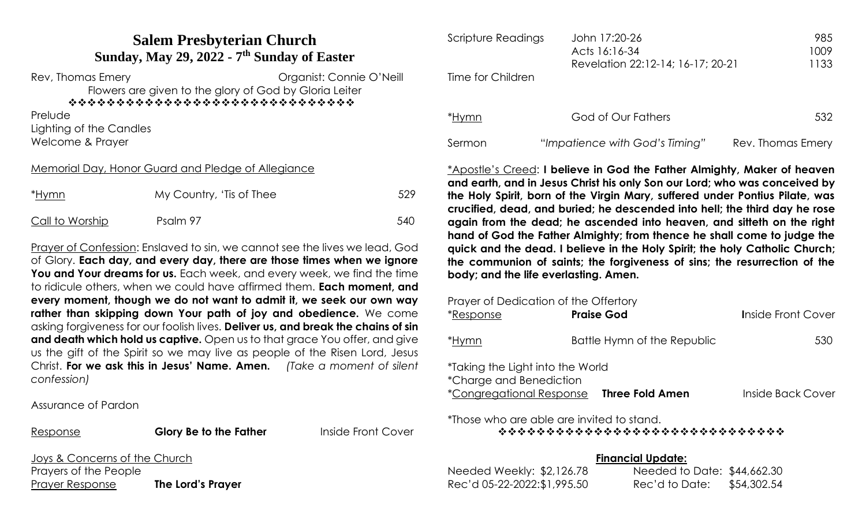# **Salem Presbyterian Church Sunday, May 29, 2022 - 7 th Sunday of Easter**

Rev, Thomas Emery **Example 20** Crainst: Connie O'Neill

Flowers are given to the glory of God by Gloria Leiter

❖❖❖❖❖❖❖❖❖❖❖❖❖❖❖❖❖❖❖❖❖❖❖❖❖❖❖❖❖❖

**Prelude** 

Lighting of the Candles Welcome & Prayer

## Memorial Day, Honor Guard and Pledge of Allegiance

| <u>*Hymn</u>    | My Country, 'Tis of Thee | 529 |
|-----------------|--------------------------|-----|
| Call to Worship | Psalm 97                 | 540 |

Prayer of Confession: Enslaved to sin, we cannot see the lives we lead, God of Glory. **Each day, and every day, there are those times when we ignore You and Your dreams for us.** Each week, and every week, we find the time to ridicule others, when we could have affirmed them. **Each moment, and every moment, though we do not want to admit it, we seek our own way rather than skipping down Your path of joy and obedience.** We come asking forgiveness for our foolish lives. **Deliver us, and break the chains of sin and death which hold us captive.** Open us to that grace You offer, and give us the gift of the Spirit so we may live as people of the Risen Lord, Jesus Christ. **For we ask this in Jesus' Name. Amen.** *(Take a moment of silent confession)*

Assurance of Pardon

Response **Glory Be to the Father** Inside Front Cover

Joys & Concerns of the Church Prayers of the People Prayer Response **The Lord's Prayer**

| John 17:20-26                     | 985<br>1009   |
|-----------------------------------|---------------|
| Revelation 22:12-14; 16-17; 20-21 | 1133          |
|                                   |               |
|                                   |               |
| God of Our Fathers                | 532           |
|                                   | Acts 16:16-34 |

Sermon "*Impatience with God's Timing"* Rev. Thomas Emery

\*Apostle's Creed: **I believe in God the Father Almighty, Maker of heaven and earth, and in Jesus Christ his only Son our Lord; who was conceived by the Holy Spirit, born of the Virgin Mary, suffered under Pontius Pilate, was crucified, dead, and buried; he descended into hell; the third day he rose again from the dead; he ascended into heaven, and sitteth on the right hand of God the Father Almighty; from thence he shall come to judge the quick and the dead. I believe in the Holy Spirit; the holy Catholic Church; the communion of saints; the forgiveness of sins; the resurrection of the body; and the life everlasting. Amen.** 

| Prayer of Dedication of the Offertory<br><i>*Response</i>                                      | <b>Praise God</b>           | <b>Inside Front Cover</b> |
|------------------------------------------------------------------------------------------------|-----------------------------|---------------------------|
| *Hymn                                                                                          | Battle Hymn of the Republic | 530                       |
| *Taking the Light into the World<br>*Charge and Benediction<br><i>*Congregational Response</i> | <b>Three Fold Amen</b>      | Inside Back Cover         |

\*Those who are able are invited to stand.

❖❖❖❖❖❖❖❖❖❖❖❖❖❖❖❖❖❖❖❖❖❖❖❖❖❖❖❖❖❖

**Financial Update:**

|                             | Financial Update:           |             |
|-----------------------------|-----------------------------|-------------|
| Needed Weekly: $$2,126.78$  | Needed to Date: \$44,662.30 |             |
| Rec'd 05-22-2022:\$1,995.50 | Rec'd to Date:              | \$54,302.54 |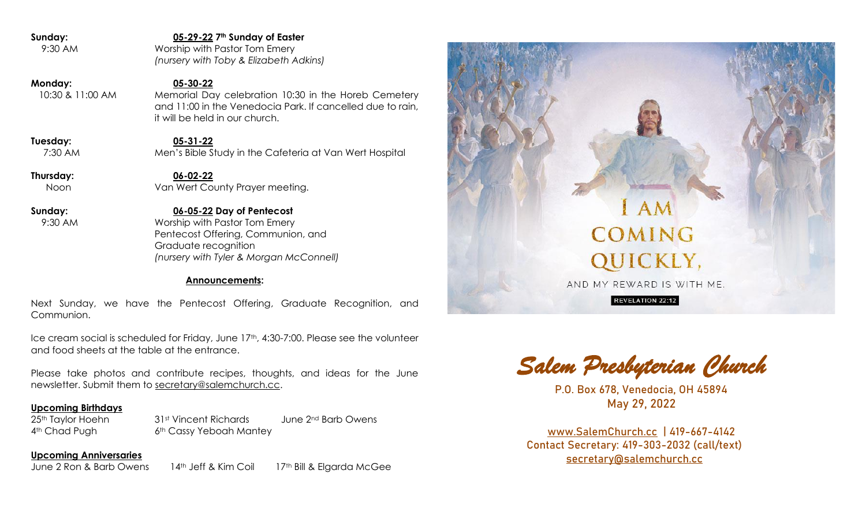**Sunday: 05-29-22 7th Sunday of Easter** 9:30 AM Worship with Pastor Tom Emery *(nursery with Toby & Elizabeth Adkins)* **Monday: 05-30-22** 10:30 & 11:00 AM Memorial Day celebration 10:30 in the Horeb Cemetery and 11:00 in the Venedocia Park. If cancelled due to rain, it will be held in our church. **Tuesday: 05-31-22** 7:30 AM Men's Bible Study in the Cafeteria at Van Wert Hospital **Thursday: 06-02-22** Noon Van Wert County Prayer meeting. **Sunday: 06-05-22 Day of Pentecost**

 9:30 AM Worship with Pastor Tom Emery Pentecost Offering, Communion, and Graduate recognition *(nursery with Tyler & Morgan McConnell)*

### **Announcements:**

Next Sunday, we have the Pentecost Offering, Graduate Recognition, and Communion.

Ice cream social is scheduled for Friday, June 17th, 4:30-7:00. Please see the volunteer and food sheets at the table at the entrance.

Please take photos and contribute recipes, thoughts, and ideas for the June newsletter. Submit them to [secretary@salemchurch.cc.](mailto:secretary@salemchurch.cc)

### **Upcoming Birthdays**

25<sup>th</sup> Taylor Hoehn 31<sup>st</sup> Vincent Richards June 2<sup>nd</sup> Barb Owens 4<sup>th</sup> Chad Pugh 6<sup>th</sup> Cassy Yeboah Mantey

**Upcoming Anniversaries** June 2 Ron & Barb Owens 14th Jeff & Kim Coil 17th Bill & Elgarda McGee



*Salem Presbyterian Church* 

P.O. Box 678, Venedocia, OH 45894 May 29, 2022

[www.SalemChurch.cc](http://www.salemchurch.cc/) | 419-667-4142 Contact Secretary: 419-303-2032 (call/text) [secretary@salemchurch.cc](mailto:secretary@salemchurch.cc)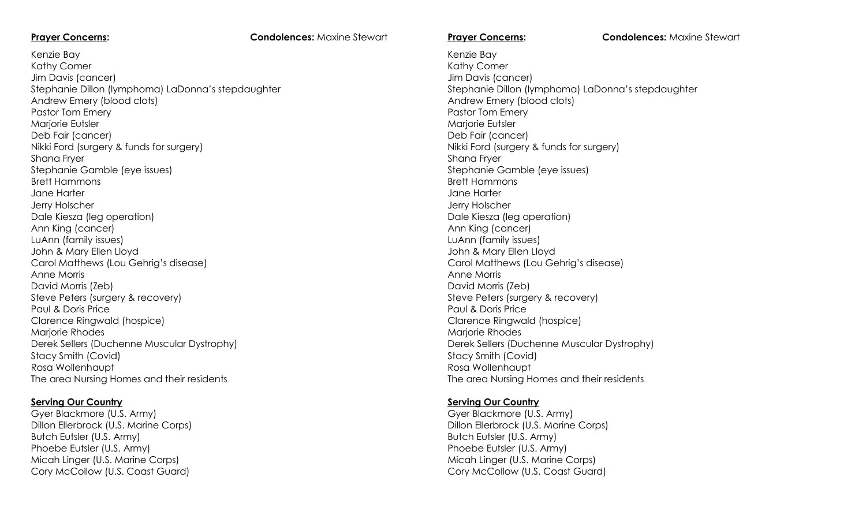### **Prayer Concerns: Condolences:** Maxine Stewart

Kenzie Bay Kathy Comer Jim Davis (cancer) Stephanie Dillon (lymphoma) LaDonna's stepdaughter Andrew Emery (blood clots) Pastor Tom Emery Marjorie Eutsler Deb Fair (cancer) Nikki Ford (surgery & funds for surgery) Shana Fryer Stephanie Gamble (eye issues) Brett Hammons Jane Harter Jerry Holscher Dale Kiesza (leg operation) Ann King (cancer) LuAnn (family issues) John & Mary Ellen Lloyd Carol Matthews (Lou Gehrig's disease) Anne Morris David Morris (Zeb) Steve Peters (surgery & recovery) Paul & Doris Price Clarence Ringwald (hospice) Marjorie Rhodes Derek Sellers (Duchenne Muscular Dystrophy) Stacy Smith (Covid) Rosa Wollenhaupt The area Nursing Homes and their residents

### **Serving Our Country**

Gyer Blackmore (U.S. Army) Dillon Ellerbrock (U.S. Marine Corps) Butch Eutsler (U.S. Army) Phoebe Eutsler (U.S. Army) Micah Linger (U.S. Marine Corps) Cory McCollow (U.S. Coast Guard)

**Prayer Concerns: Condolences:** Maxine Stewart

Kenzie Bay Kathy Comer Jim Davis (cancer) Stephanie Dillon (lymphoma) LaDonna's stepdaughter Andrew Emery (blood clots) Pastor Tom Emery Marjorie Eutsler Deb Fair (cancer) Nikki Ford (surgery & funds for surgery) Shana Fryer Stephanie Gamble (eye issues) Brett Hammons Jane Harter Jerry Holscher Dale Kiesza (leg operation) Ann King (cancer) LuAnn (family issues) John & Mary Ellen Lloyd Carol Matthews (Lou Gehrig's disease) Anne Morris David Morris (Zeb) Steve Peters (surgery & recovery) Paul & Doris Price Clarence Ringwald (hospice) Marjorie Rhodes Derek Sellers (Duchenne Muscular Dystrophy) Stacy Smith (Covid) Rosa Wollenhaupt The area Nursing Homes and their residents

### **Serving Our Country**

Gyer Blackmore (U.S. Army) Dillon Ellerbrock (U.S. Marine Corps) Butch Eutsler (U.S. Army) Phoebe Eutsler (U.S. Army) Micah Linger (U.S. Marine Corps) Cory McCollow (U.S. Coast Guard)